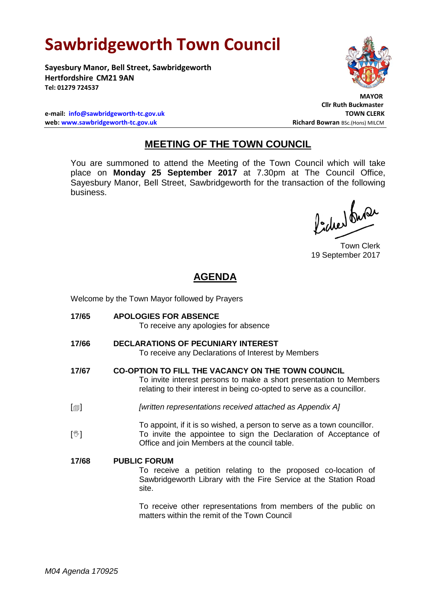## **Sawbridgeworth Town Council**

**Sayesbury Manor, Bell Street, Sawbridgeworth Hertfordshire CM21 9AN Tel: 01279 724537**



 **MAYOR**

**Cllr Ruth Buckmaster**

**e-mail: [info@sawbridgeworth-tc.gov.uk](mailto:info@sawbridgeworth-tc.gov.uk) TOWN CLERK web: www.sawbridgeworth-tc.gov.uk Richard Bowran BSc.(Hons) MILCM Richard Bowran BSc.(Hons) MILCM** 

# **MEETING OF THE TOWN COUNCIL**

You are summoned to attend the Meeting of the Town Council which will take place on **Monday 25 September 2017** at 7.30pm at The Council Office, Sayesbury Manor, Bell Street, Sawbridgeworth for the transaction of the following business.

fidee buse

Town Clerk 19 September 2017

### **AGENDA**

Welcome by the Town Mayor followed by Prayers

**17/65 APOLOGIES FOR ABSENCE** To receive any apologies for absence **17/66 DECLARATIONS OF PECUNIARY INTEREST** To receive any Declarations of Interest by Members **17/67**  $[\blacksquare]$  $\mathbf{N}$ **CO-OPTION TO FILL THE VACANCY ON THE TOWN COUNCIL** To invite interest persons to make a short presentation to Members relating to their interest in being co-opted to serve as a councillor. *[written representations received attached as Appendix A]* To appoint, if it is so wished, a person to serve as a town councillor. To invite the appointee to sign the Declaration of Acceptance of Office and join Members at the council table. **17/68 PUBLIC FORUM** To receive a petition relating to the proposed co-location of Sawbridgeworth Library with the Fire Service at the Station Road site.

> To receive other representations from members of the public on matters within the remit of the Town Council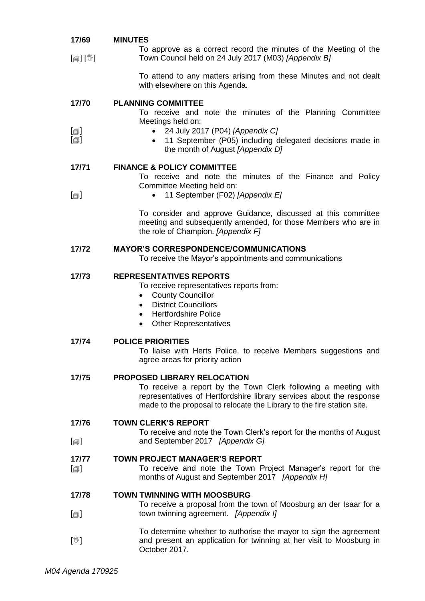| 17/69                                                               | <b>MINUTES</b>                                                                                                                                                                                                                                         |
|---------------------------------------------------------------------|--------------------------------------------------------------------------------------------------------------------------------------------------------------------------------------------------------------------------------------------------------|
| $\mathbb{D}[\mathbb{D}^1]$                                          | To approve as a correct record the minutes of the Meeting of the<br>Town Council held on 24 July 2017 (M03) [Appendix B]                                                                                                                               |
|                                                                     | To attend to any matters arising from these Minutes and not dealt<br>with elsewhere on this Agenda.                                                                                                                                                    |
| 17/70<br>$\lbrack \oplus \rbrack$<br>$\lbrack \circledcirc \rbrack$ | <b>PLANNING COMMITTEE</b><br>To receive and note the minutes of the Planning Committee<br>Meetings held on:<br>24 July 2017 (P04) [Appendix C]<br>11 September (P05) including delegated decisions made in<br>the month of August [Appendix D]         |
| 17/71<br>$[\blacksquare]$                                           | <b>FINANCE &amp; POLICY COMMITTEE</b><br>To receive and note the minutes of the Finance and Policy<br>Committee Meeting held on:<br>11 September (F02) [Appendix E]<br>$\bullet$                                                                       |
|                                                                     | To consider and approve Guidance, discussed at this committee<br>meeting and subsequently amended, for those Members who are in<br>the role of Champion. [Appendix F]                                                                                  |
| 17/72                                                               | <b>MAYOR'S CORRESPONDENCE/COMMUNICATIONS</b><br>To receive the Mayor's appointments and communications                                                                                                                                                 |
| 17/73                                                               | <b>REPRESENTATIVES REPORTS</b><br>To receive representatives reports from:<br><b>County Councillor</b><br><b>District Councillors</b><br><b>Hertfordshire Police</b><br>$\bullet$<br><b>Other Representatives</b><br>$\bullet$                         |
| 17/74                                                               | <b>POLICE PRIORITIES</b><br>To liaise with Herts Police, to receive Members suggestions and<br>agree areas for priority action                                                                                                                         |
| 17/75                                                               | <b>PROPOSED LIBRARY RELOCATION</b><br>To receive a report by the Town Clerk following a meeting with<br>representatives of Hertfordshire library services about the response<br>made to the proposal to relocate the Library to the fire station site. |
| 17/76                                                               | <b>TOWN CLERK'S REPORT</b><br>To receive and note the Town Clerk's report for the months of August                                                                                                                                                     |
| $[\blacksquare]$                                                    | and September 2017 [Appendix G]                                                                                                                                                                                                                        |
| 17/77<br>$\lbrack \circledcirc \rbrack$                             | <b>TOWN PROJECT MANAGER'S REPORT</b><br>To receive and note the Town Project Manager's report for the<br>months of August and September 2017 [Appendix H]                                                                                              |
| 17/78<br>$\lbrack \circledcirc \rbrack$                             | <b>TOWN TWINNING WITH MOOSBURG</b><br>To receive a proposal from the town of Moosburg an der Isaar for a<br>town twinning agreement. [Appendix I]                                                                                                      |
| $[\mathbb{V}]$                                                      | To determine whether to authorise the mayor to sign the agreement<br>and present an application for twinning at her visit to Moosburg in<br>October 2017.                                                                                              |